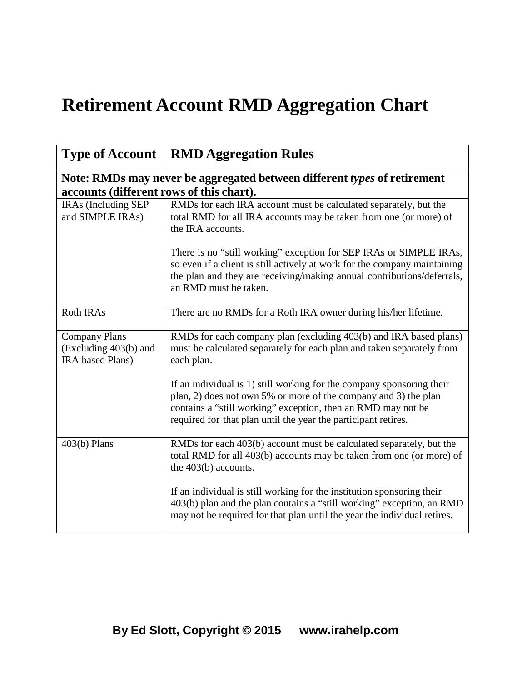## **Retirement Account RMD Aggregation Chart**

|                                                                                                                      | <b>Type of Account   RMD Aggregation Rules</b>                                                                                                                                                                                                                             |  |
|----------------------------------------------------------------------------------------------------------------------|----------------------------------------------------------------------------------------------------------------------------------------------------------------------------------------------------------------------------------------------------------------------------|--|
| Note: RMDs may never be aggregated between different types of retirement<br>accounts (different rows of this chart). |                                                                                                                                                                                                                                                                            |  |
| IRAs (Including SEP<br>and SIMPLE IRAs)                                                                              | RMDs for each IRA account must be calculated separately, but the<br>total RMD for all IRA accounts may be taken from one (or more) of<br>the IRA accounts.                                                                                                                 |  |
|                                                                                                                      | There is no "still working" exception for SEP IRAs or SIMPLE IRAs,<br>so even if a client is still actively at work for the company maintaining<br>the plan and they are receiving/making annual contributions/deferrals,<br>an RMD must be taken.                         |  |
| <b>Roth IRAs</b>                                                                                                     | There are no RMDs for a Roth IRA owner during his/her lifetime.                                                                                                                                                                                                            |  |
| <b>Company Plans</b><br>(Excluding 403(b) and<br>IRA based Plans)                                                    | RMDs for each company plan (excluding 403(b) and IRA based plans)<br>must be calculated separately for each plan and taken separately from<br>each plan.                                                                                                                   |  |
|                                                                                                                      | If an individual is 1) still working for the company sponsoring their<br>plan, 2) does not own 5% or more of the company and 3) the plan<br>contains a "still working" exception, then an RMD may not be<br>required for that plan until the year the participant retires. |  |
| $403(b)$ Plans                                                                                                       | RMDs for each 403(b) account must be calculated separately, but the<br>total RMD for all 403(b) accounts may be taken from one (or more) of<br>the $403(b)$ accounts.                                                                                                      |  |
|                                                                                                                      | If an individual is still working for the institution sponsoring their<br>403(b) plan and the plan contains a "still working" exception, an RMD<br>may not be required for that plan until the year the individual retires.                                                |  |